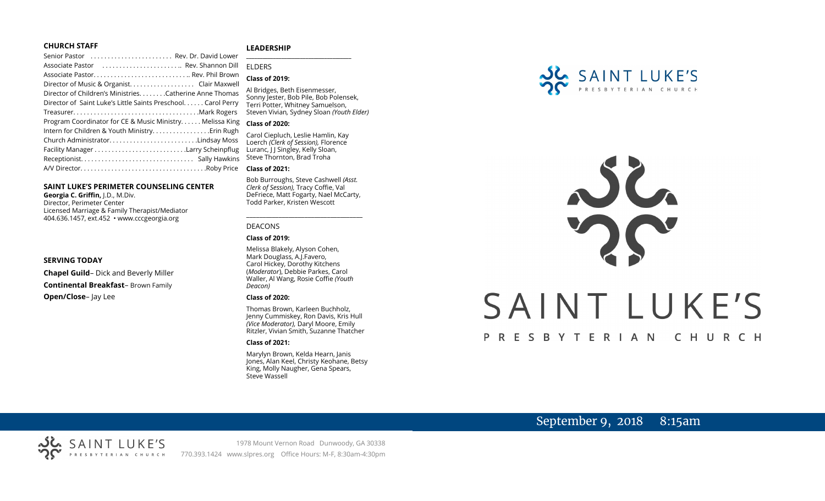### **CHURCH STAFF**

### **LEADERSHIP**

Senior Pastor . . . . . . . . . . . . . . . . . . . . . . . . Rev. Dr. David Lower Associate Pastor . . . . . . . . . . . . . . . . . . . . . . .. Rev. Shannon Dill Associate Pastor. . . . . . . . . . . . . . . . . . . . . . . . . . . .. Rev. Phil Brown Director of Music & Organist. . . . . . . . . . . . . . . . . . . Clair Maxwell Director of Children's Ministries. . . . . . . .Catherine Anne Thomas Director of Saint Luke's Little Saints Preschool. . . . . . Carol Perry Treasurer. . . . . . . . . . . . . . . . . . . . . . . . . . . . . . . . . . . . .Mark Rogers Program Coordinator for CE & Music Ministry. . . . . . Melissa King **Class of 2020:** Intern for Children & Youth Ministry...............Erin Rugh Church Administrator. . . . . . . . . . . . . . . . . . . . . . . . . .Lindsay Moss Facility Manager . . . . . . . . . . . . . . . . . . . . . . . . . . .Larry Scheinpflug Receptionist. . . . . . . . . . . . . . . . . . . . . . . . . . . . . . . . . Sally Hawkins A/V Director. . . . . . . . . . . . . . . . . . . . . . . . . . . . . . . . . . . . .Roby Price **Class of 2021: \_\_\_\_\_\_\_\_\_\_\_\_\_\_\_\_\_\_\_\_\_\_\_\_\_\_\_\_\_\_\_\_\_\_\_\_\_\_\_** ELDERS

### **SAINT LUKE'S PERIMETER COUNSELING CENTER**

**Georgia C. Griffin,** J.D., M.Div. Director, Perimeter Center Licensed Marriage & Family Therapist/Mediator 404.636.1457, ext.452 • www.cccgeorgia.org

### **SERVING TODAY**

**Chapel Guild**– Dick and Beverly Miller **Continental Breakfast**– Brown Family **Open/Close**– Jay Lee

### **Class of 2019:** Al Bridges, Beth Eisenmesser, Sonny Jester, Bob Pile, Bob Polensek, Terri Potter, Whitney Samuelson, Steven Vivian*,* Sydney Sloan *(Youth Elder)*

Carol Ciepluch, Leslie Hamlin, Kay Loerch *(Clerk of Session),* Florence Luranc, J J Singley, Kelly Sloan, Steve Thornton, Brad Troha

Bob Burroughs, Steve Cashwell *(Asst. Clerk of Session),* Tracy Coffie, Val DeFriece, Matt Fogarty, Nael McCarty, Todd Parker, Kristen Wescott

\_\_\_\_\_\_\_\_\_\_\_\_\_\_\_\_\_\_\_\_\_\_\_\_\_\_\_\_\_\_\_\_\_\_\_\_

### DEACONS

### **Class of 2019:**

Melissa Blakely, Alyson Cohen, Mark Douglass, A.J.Favero, Carol Hickey, Dorothy Kitchens (*Moderator*), Debbie Parkes, Carol Waller, Al Wang, Rosie Coffie *(Youth Deacon)* 

### **Class of 2020:**

Thomas Brown, Karleen Buchholz, Jenny Cummiskey, Ron Davis, Kris Hull *(Vice Moderator),* Daryl Moore, Emily Ritzler, Vivian Smith, Suzanne Thatcher

### **Class of 2021:**

Marylyn Brown, Kelda Hearn, Janis Jones, Alan Keel, Christy Keohane, Betsy King, Molly Naugher, Gena Spears, Steve Wassell



# SAINT LUKE'S P R E S B Y T E R I A N CHURCH

# September 9, 2018 8:15am

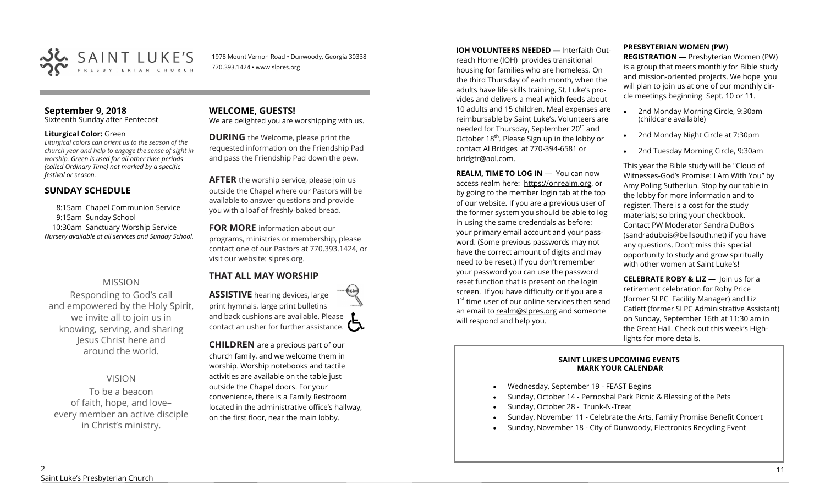

1978 Mount Vernon Road • Dunwoody, Georgia 30338 770.393.1424 • www.slpres.org

### **September 9, 2018**

Sixteenth Sunday after Pentecost

### **Liturgical Color:** Green

*Liturgical colors can orient us to the season of the church year and help to engage the sense of sight in worship. Green is used for all other time periods (called Ordinary Time) not marked by a specific festival or season.*

### **SUNDAY SCHEDULE**

8:15am Chapel Communion Service 9:15am Sunday School 10:30am Sanctuary Worship Service *Nursery available at all services and Sunday School.* 

### MISSION

Responding to God's call and empowered by the Holy Spirit, we invite all to join us in knowing, serving, and sharing Jesus Christ here and around the world.

VISION

To be a beacon of faith, hope, and love– every member an active disciple in Christ's ministry.

### **WELCOME, GUESTS!**  We are delighted you are worshipping with us.

**DURING** the Welcome, please print the requested information on the Friendship Pad and pass the Friendship Pad down the pew.

**AFTER** the worship service, please join us outside the Chapel where our Pastors will be available to answer questions and provide you with a loaf of freshly-baked bread.

**FOR MORE** information about our programs, ministries or membership, please contact one of our Pastors at 770.393.1424, or visit our website: slpres.org.

### **THAT ALL MAY WORSHIP**

**ASSISTIVE** hearing devices, large print hymnals, large print bulletins and back cushions are available. Please contact an usher for further assistance.  $\square$ 

**CHILDREN** are a precious part of our church family, and we welcome them in worship. Worship notebooks and tactile activities are available on the table just outside the Chapel doors. For your convenience, there is a Family Restroom located in the administrative office's hallway, on the first floor, near the main lobby.

**IOH VOLUNTEERS NEEDED —** Interfaith Outreach Home (IOH) provides transitional housing for families who are homeless. On the third Thursday of each month, when the adults have life skills training, St. Luke's provides and delivers a meal which feeds about 10 adults and 15 children. Meal expenses are reimbursable by Saint Luke's. Volunteers are needed for Thursday, September 20<sup>th</sup> and October 18<sup>th</sup>. Please Sign up in the lobby or contact Al Bridges at 770-394-6581 or bridgtr@aol.com.

**REALM. TIME TO LOG IN - You can now** access realm here: [https://onrealm.org,](https://onrealm.org) or by going to the member login tab at the top of our website. If you are a previous user of the former system you should be able to log in using the same credentials as before: your primary email account and your password. (Some previous passwords may not have the correct amount of digits and may need to be reset.) If you don't remember your password you can use the password reset function that is present on the login screen. If you have difficulty or if you are a 1<sup>st</sup> time user of our online services then send an email to [realm@slpres.org](mailto:realm@slpres.org) and someone will respond and help you.

### **PRESBYTERIAN WOMEN (PW)**

**REGISTRATION —** Presbyterian Women (PW) is a group that meets monthly for Bible study and mission-oriented projects. We hope you will plan to join us at one of our monthly circle meetings beginning Sept. 10 or 11.

- 2nd Monday Morning Circle, 9:30am (childcare available)
- 2nd Monday Night Circle at 7:30pm
- 2nd Tuesday Morning Circle, 9:30am

This year the Bible study will be "Cloud of Witnesses-God's Promise: I Am With You" by Amy Poling Sutherlun. Stop by our table in the lobby for more information and to register. There is a cost for the study materials; so bring your checkbook. Contact PW Moderator Sandra DuBois (sandradubois@bellsouth.net) if you have any questions. Don't miss this special opportunity to study and grow spiritually with other women at Saint Luke's!

**CELEBRATE ROBY & LIZ —** Join us for a retirement celebration for Roby Price (former SLPC Facility Manager) and Liz Catlett (former SLPC Administrative Assistant) on Sunday, September 16th at 11:30 am in the Great Hall. Check out this week's Highlights for more details.

### **SAINT LUKE'S UPCOMING EVENTS MARK YOUR CALENDAR**

- Wednesday, September 19 FEAST Begins
- Sunday, October 14 Pernoshal Park Picnic & Blessing of the Pets
- Sunday, October 28 Trunk-N-Treat
- Sunday, November 11 Celebrate the Arts, Family Promise Benefit Concert
- Sunday, November 18 City of Dunwoody, Electronics Recycling Event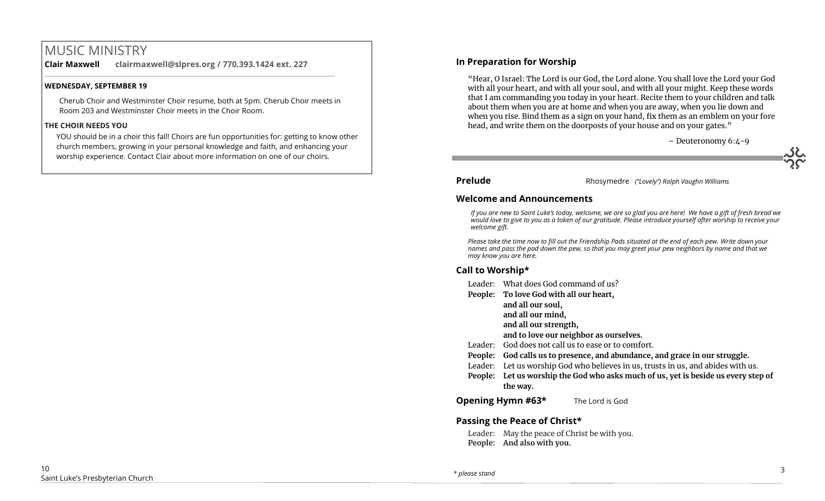# MUSIC MINISTRY

**Clair Maxwell clairmaxwell@slpres.org / 770.393.1424 ext. 227** 

 $\_$  ,  $\_$  ,  $\_$  ,  $\_$  ,  $\_$  ,  $\_$  ,  $\_$  ,  $\_$  ,  $\_$  ,  $\_$  ,  $\_$  ,  $\_$  ,  $\_$  ,  $\_$  ,  $\_$  ,  $\_$  ,  $\_$  ,  $\_$  ,  $\_$ 

### **WEDNESDAY, SEPTEMBER 19**

Cherub Choir and Westminster Choir resume, both at 5pm. Cherub Choir meets in Room 203 and Westminster Choir meets in the Choir Room.

### **THE CHOIR NEEDS YOU**

YOU should be in a choir this fall! Choirs are fun opportunities for: getting to know other church members, growing in your personal knowledge and faith, and enhancing your worship experience. Contact Clair about more information on one of our choirs.

### **In Preparation for Worship**

"Hear, O Israel: The Lord is our God, the Lord alone. You shall love the Lord your God with all your heart, and with all your soul, and with all your might. Keep these words that I am commanding you today in your heart. Recite them to your children and talk about them when you are at home and when you are away, when you lie down and when you rise. Bind them as a sign on your hand, fix them as an emblem on your fore head, and write them on the doorposts of your house and on your gates."



**Prelude** Rhosymedre *("Lovely") Ralph Vaughn Williams*

### **Welcome and Announcements**

*If you are new to Saint Luke's today, welcome, we are so glad you are here! We have a gift of fresh bread we would love to give to you as a token of our gratitude. Please introduce yourself after worship to receive your welcome gift.*

*Please take the time now to fill out the Friendship Pads situated at the end of each pew. Write down your names and pass the pad down the pew, so that you may greet your pew neighbors by name and that we may know you are here.*

### **Call to Worship\***

- Leader: What does God command of us?
- **People: To love God with all our heart,**
	- **and all our soul,**
	- **and all our mind,**
	- **and all our strength,**

**and to love our neighbor as ourselves.**

- Leader: God does not call us to ease or to comfort.
- **People: God calls us to presence, and abundance, and grace in our struggle.**
- Leader: Let us worship God who believes in us, trusts in us, and abides with us.
- **People: Let us worship the God who asks much of us, yet is beside us every step of the way.**

**Opening Hymn #63\*** The Lord is God

### **Passing the Peace of Christ\***

Leader: May the peace of Christ be with you. **People: And also with you.**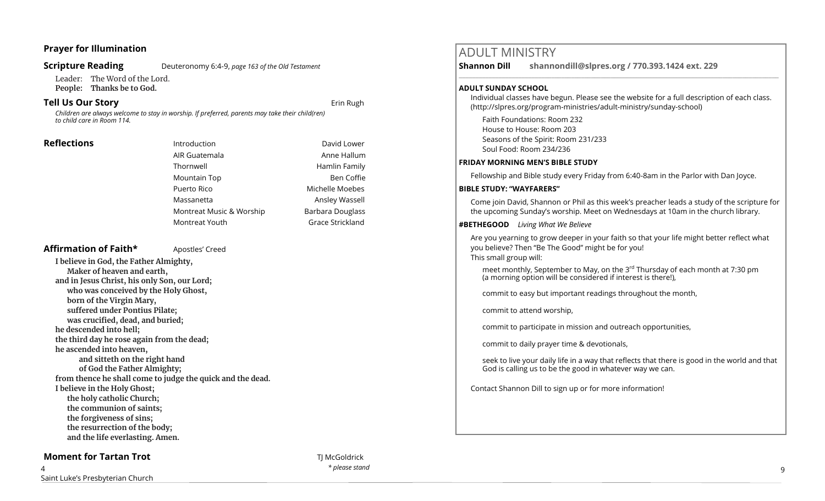### **Prayer for Illumination**

### **Scripture Reading** Deuteronomy 6:4-9, *page 163 of the Old Testament*

Leader: The Word of the Lord. **People: Thanks be to God.** 

### **Tell Us Our Story Example 2018 Example 2018 Example 2018 Example 2019**

*Children are always welcome to stay in worship. If preferred, parents may take their child(ren) to child care in Room 114.*

**Reflections Introduction Introduction David Lower** AIR Guatemala **Anne Hallum** Thornwell **Hamlin Family** Mountain Top **Ben Coffie** Puerto Rico **Michelle Moebes** Massanetta **Ansley Wassell** Montreat Music & Worship Barbara Douglass Montreat Youth Grace Strickland

### Affirmation of Faith\* **Apostles'** Creed

**I believe in God, the Father Almighty, Maker of heaven and earth, and in Jesus Christ, his only Son, our Lord; who was conceived by the Holy Ghost, born of the Virgin Mary, suffered under Pontius Pilate; was crucified, dead, and buried; he descended into hell; the third day he rose again from the dead; he ascended into heaven, and sitteth on the right hand of God the Father Almighty; from thence he shall come to judge the quick and the dead. I believe in the Holy Ghost; the holy catholic Church; the communion of saints; the forgiveness of sins; the resurrection of the body; and the life everlasting. Amen.**

### **Moment for Tartan Trot** THE CONSTRUCTION OF THE CONDUCTION OF THE CONDUCTION OF THE CONDUCTION OF THE CONDUCTION OF THE CONDUCTION OF THE CONDUCTION OF THE CONDUCTION OF THE CONDUCTION OF THE CONDUCTION OF THE CONDUCTION

*\* please stand* 9

# ADULT MINISTRY

**Shannon Dill shannondill@slpres.org / 770.393.1424 ext. 229** 

### **ADULT SUNDAY SCHOOL**

Individual classes have begun. Please see the website for a full description of each class. (http://slpres.org/program-ministries/adult-ministry/sunday-school)

 $\_$  ,  $\_$  ,  $\_$  ,  $\_$  ,  $\_$  ,  $\_$  ,  $\_$  ,  $\_$  ,  $\_$  ,  $\_$  ,  $\_$  ,  $\_$  ,  $\_$  ,  $\_$  ,  $\_$  ,  $\_$  ,  $\_$  ,  $\_$  ,  $\_$  ,  $\_$ 

Faith Foundations: Room 232 House to House: Room 203 Seasons of the Spirit: Room 231/233 Soul Food: Room 234/236

### **FRIDAY MORNING MEN'S BIBLE STUDY**

Fellowship and Bible study every Friday from 6:40-8am in the Parlor with Dan Joyce.

### **BIBLE STUDY: "WAYFARERS"**

Come join David, Shannon or Phil as this week's preacher leads a study of the scripture for the upcoming Sunday's worship. Meet on Wednesdays at 10am in the church library.

### **#BETHEGOOD** *Living What We Believe*

Are you yearning to grow deeper in your faith so that your life might better reflect what you believe? Then "Be The Good" might be for you! This small group will:

meet monthly, September to May, on the 3<sup>rd</sup> Thursday of each month at 7:30 pm (a morning option will be considered if interest is there!),

commit to easy but important readings throughout the month,

commit to attend worship,

commit to participate in mission and outreach opportunities,

commit to daily prayer time & devotionals,

seek to live your daily life in a way that reflects that there is good in the world and that God is calling us to be the good in whatever way we can.

Contact Shannon Dill to sign up or for more information!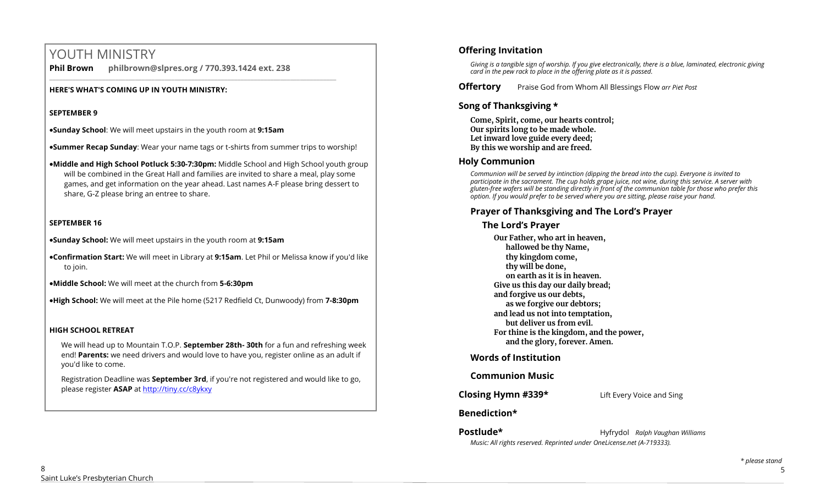# YOUTH MINISTRY

**Phil Brown philbrown@slpres.org / 770.393.1424 ext. 238** 

### **HERE'S WHAT'S COMING UP IN YOUTH MINISTRY:**

### **SEPTEMBER 9**

•**Sunday School**: We will meet upstairs in the youth room at **9:15am**

•**Summer Recap Sunday**: Wear your name tags or t-shirts from summer trips to worship!

\_\_\_\_\_\_\_\_\_\_\_\_\_\_\_\_\_\_\_\_\_\_\_\_\_\_\_\_\_\_\_\_\_\_\_\_\_\_\_\_\_\_\_\_\_\_\_\_\_\_\_\_\_\_\_\_\_\_\_\_\_\_\_\_\_\_\_\_\_\_\_\_\_\_\_\_\_\_\_\_\_\_\_\_\_\_\_

•**Middle and High School Potluck 5:30-7:30pm:** Middle School and High School youth group will be combined in the Great Hall and families are invited to share a meal, play some games, and get information on the year ahead. Last names A-F please bring dessert to share, G-Z please bring an entree to share.

### **SEPTEMBER 16**

•**Sunday School:** We will meet upstairs in the youth room at **9:15am**

•**Confirmation Start:** We will meet in Library at **9:15am**. Let Phil or Melissa know if you'd like to join.

•**Middle School:** We will meet at the church from **5-6:30pm**

•**High School:** We will meet at the Pile home (5217 Redfield Ct, Dunwoody) from **7-8:30pm**

### **HIGH SCHOOL RETREAT**

We will head up to Mountain T.O.P. **September 28th- 30th** for a fun and refreshing week end! **Parents:** we need drivers and would love to have you, register online as an adult if you'd like to come.

Registration Deadline was **September 3rd**, if you're not registered and would like to go, please register **ASAP** at<http://tiny.cc/c8ykxy>

### **Offering Invitation**

*Giving is a tangible sign of worship. If you give electronically, there is a blue, laminated, electronic giving card in the pew rack to place in the offering plate as it is passed.*

**Offertory** Praise God from Whom All Blessings Flow *arr Piet Post*

### **Song of Thanksgiving**

**Come, Spirit, come, our hearts control; Our spirits long to be made whole. Let inward love guide every deed; By this we worship and are freed.**

### **Holy Communion**

*Communion will be served by intinction (dipping the bread into the cup). Everyone is invited to participate in the sacrament. The cup holds grape juice, not wine, during this service. A server with gluten-free wafers will be standing directly in front of the communion table for those who prefer this option. If you would prefer to be served where you are sitting, please raise your hand.*

### **Prayer of Thanksgiving and The Lord's Prayer**

### **The Lord's Prayer**

**Our Father, who art in heaven, hallowed be thy Name, thy kingdom come, thy will be done, on earth as it is in heaven. Give us this day our daily bread; and forgive us our debts, as we forgive our debtors; and lead us not into temptation, but deliver us from evil. For thine is the kingdom, and the power, and the glory, forever. Amen.** 

### **Words of Institution**

### **Communion Music**

**Closing Hymn #339\*** Lift Every Voice and Sing

### **Benediction\***

**Postlude\*** Hyfrydol *Ralph Vaughan Williams Music: All rights reserved. Reprinted under OneLicense.net (A-719333).*